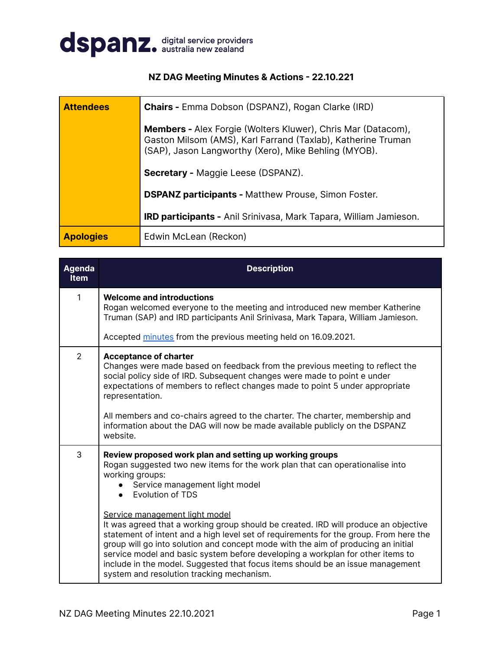

## **NZ DAG Meeting Minutes & Actions - 22.10.221**

| <b>Attendees</b>                                           | <b>Chairs - Emma Dobson (DSPANZ), Rogan Clarke (IRD)</b>                                                                                                                                    |  |  |  |
|------------------------------------------------------------|---------------------------------------------------------------------------------------------------------------------------------------------------------------------------------------------|--|--|--|
|                                                            | <b>Members - Alex Forgie (Wolters Kluwer), Chris Mar (Datacom),</b><br>Gaston Milsom (AMS), Karl Farrand (Taxlab), Katherine Truman<br>(SAP), Jason Langworthy (Xero), Mike Behling (MYOB). |  |  |  |
|                                                            | <b>Secretary - Maggie Leese (DSPANZ).</b>                                                                                                                                                   |  |  |  |
| <b>DSPANZ participants - Matthew Prouse, Simon Foster.</b> |                                                                                                                                                                                             |  |  |  |
|                                                            | <b>IRD participants - Anil Srinivasa, Mark Tapara, William Jamieson.</b>                                                                                                                    |  |  |  |
| <b>Apologies</b>                                           | Edwin McLean (Reckon)                                                                                                                                                                       |  |  |  |

| <b>Agenda</b><br><b>Item</b> | <b>Description</b>                                                                                                                                                                                                                                                                                                                                                                                                                                                                                                   |
|------------------------------|----------------------------------------------------------------------------------------------------------------------------------------------------------------------------------------------------------------------------------------------------------------------------------------------------------------------------------------------------------------------------------------------------------------------------------------------------------------------------------------------------------------------|
| 1                            | <b>Welcome and introductions</b><br>Rogan welcomed everyone to the meeting and introduced new member Katherine<br>Truman (SAP) and IRD participants Anil Srinivasa, Mark Tapara, William Jamieson.                                                                                                                                                                                                                                                                                                                   |
|                              | Accepted minutes from the previous meeting held on 16.09.2021.                                                                                                                                                                                                                                                                                                                                                                                                                                                       |
| 2                            | <b>Acceptance of charter</b><br>Changes were made based on feedback from the previous meeting to reflect the<br>social policy side of IRD. Subsequent changes were made to point e under<br>expectations of members to reflect changes made to point 5 under appropriate<br>representation.<br>All members and co-chairs agreed to the charter. The charter, membership and                                                                                                                                          |
|                              | information about the DAG will now be made available publicly on the DSPANZ<br>website.                                                                                                                                                                                                                                                                                                                                                                                                                              |
| 3                            | Review proposed work plan and setting up working groups<br>Rogan suggested two new items for the work plan that can operationalise into<br>working groups:<br>Service management light model<br>Evolution of TDS                                                                                                                                                                                                                                                                                                     |
|                              | Service management light model<br>It was agreed that a working group should be created. IRD will produce an objective<br>statement of intent and a high level set of requirements for the group. From here the<br>group will go into solution and concept mode with the aim of producing an initial<br>service model and basic system before developing a workplan for other items to<br>include in the model. Suggested that focus items should be an issue management<br>system and resolution tracking mechanism. |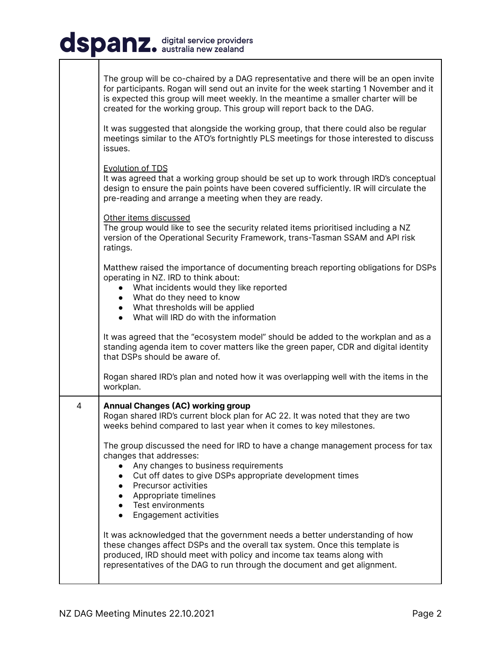## dspanz. digital service providers

|   | The group will be co-chaired by a DAG representative and there will be an open invite<br>for participants. Rogan will send out an invite for the week starting 1 November and it<br>is expected this group will meet weekly. In the meantime a smaller charter will be<br>created for the working group. This group will report back to the DAG.<br>It was suggested that alongside the working group, that there could also be regular<br>meetings similar to the ATO's fortnightly PLS meetings for those interested to discuss |
|---|-----------------------------------------------------------------------------------------------------------------------------------------------------------------------------------------------------------------------------------------------------------------------------------------------------------------------------------------------------------------------------------------------------------------------------------------------------------------------------------------------------------------------------------|
|   | issues.<br><b>Evolution of TDS</b><br>It was agreed that a working group should be set up to work through IRD's conceptual<br>design to ensure the pain points have been covered sufficiently. IR will circulate the<br>pre-reading and arrange a meeting when they are ready.                                                                                                                                                                                                                                                    |
|   | Other items discussed<br>The group would like to see the security related items prioritised including a NZ<br>version of the Operational Security Framework, trans-Tasman SSAM and API risk<br>ratings.                                                                                                                                                                                                                                                                                                                           |
|   | Matthew raised the importance of documenting breach reporting obligations for DSPs<br>operating in NZ. IRD to think about:<br>• What incidents would they like reported<br>• What do they need to know<br>• What thresholds will be applied<br>• What will IRD do with the information                                                                                                                                                                                                                                            |
|   | It was agreed that the "ecosystem model" should be added to the workplan and as a<br>standing agenda item to cover matters like the green paper, CDR and digital identity<br>that DSPs should be aware of.                                                                                                                                                                                                                                                                                                                        |
|   | Rogan shared IRD's plan and noted how it was overlapping well with the items in the<br>workplan.                                                                                                                                                                                                                                                                                                                                                                                                                                  |
| 4 | <b>Annual Changes (AC) working group</b><br>Rogan shared IRD's current block plan for AC 22. It was noted that they are two<br>weeks behind compared to last year when it comes to key milestones.                                                                                                                                                                                                                                                                                                                                |
|   | The group discussed the need for IRD to have a change management process for tax<br>changes that addresses:<br>Any changes to business requirements<br>Cut off dates to give DSPs appropriate development times<br>• Precursor activities<br>• Appropriate timelines<br>• Test environments<br>Engagement activities                                                                                                                                                                                                              |
|   | It was acknowledged that the government needs a better understanding of how<br>these changes affect DSPs and the overall tax system. Once this template is<br>produced, IRD should meet with policy and income tax teams along with<br>representatives of the DAG to run through the document and get alignment.                                                                                                                                                                                                                  |